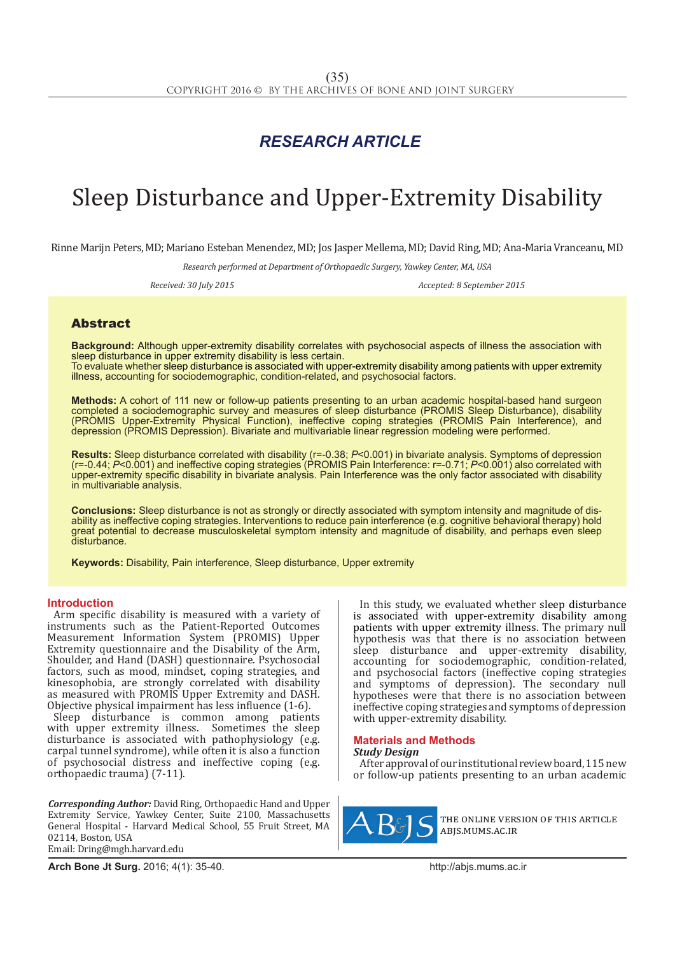# *RESEARCH ARTICLE*

# Sleep Disturbance and Upper-Extremity Disability

Rinne Marijn Peters, MD; Mariano Esteban Menendez, MD; Jos Jasper Mellema, MD; David Ring, MD; Ana-Maria Vranceanu, MD

*Research performed at Department of Orthopaedic Surgery, Yawkey Center, MA, USA*

*Received: 30 July 2015 Accepted: 8 September 2015*

## Abstract

**Background:** Although upper-extremity disability correlates with psychosocial aspects of illness the association with sleep disturbance in upper extremity disability is less certain.

To evaluate whether sleep disturbance is associated with upper-extremity disability among patients with upper extremity illness, accounting for sociodemographic, condition-related, and psychosocial factors.

**Methods:** A cohort of 111 new or follow-up patients presenting to an urban academic hospital-based hand surgeon completed a sociodemographic survey and measures of sleep disturbance (PROMIS Sleep Disturbance), disability (PROMIS Upper-Extremity Physical Function), ineffective coping strategies (PROMIS Pain Interference), and depression (PROMIS Depression). Bivariate and multivariable linear regression modeling were performed.

**Results:** Sleep disturbance correlated with disability (r=-0.38; *P*<0.001) in bivariate analysis. Symptoms of depression (r=-0.44; *P*<0.001) and ineffective coping strategies (PROMIS Pain Interference: r=-0.71; *P*<0.001) also correlated with upper-extremity specific disability in bivariate analysis. Pain Interference was the only factor associated with disability in multivariable analysis.

**Conclusions:** Sleep disturbance is not as strongly or directly associated with symptom intensity and magnitude of disability as ineffective coping strategies. Interventions to reduce pain interference (e.g. cognitive behavioral therapy) hold great potential to decrease musculoskeletal symptom intensity and magnitude of disability, and perhaps even sleep disturbance.

**Keywords:** Disability, Pain interference, Sleep disturbance, Upper extremity

#### **Introduction**

Arm specific disability is measured with a variety of instruments such as the Patient-Reported Outcomes Measurement Information System (PROMIS) Upper Extremity questionnaire and the Disability of the Arm, Shoulder, and Hand (DASH) questionnaire. Psychosocial factors, such as mood, mindset, coping strategies, and kinesophobia, are strongly correlated with disability as measured with PROMIS Upper Extremity and DASH. Objective physical impairment has less influence (1-6).

Sleep disturbance is common among patients with upper extremity illness. Sometimes the sleep disturbance is associated with pathophysiology (e.g. carpal tunnel syndrome), while often it is also a function of psychosocial distress and ineffective coping (e.g. orthopaedic trauma) (7-11).

*Corresponding Author:* David Ring, Orthopaedic Hand and Upper Extremity Service, Yawkey Center, Suite 2100, Massachusetts General Hospital - Harvard Medical School, 55 Fruit Street, MA 02114, Boston, USA Email: Dring@mgh.harvard.edu

In this study, we evaluated whether sleep disturbance is associated with upper-extremity disability among patients with upper extremity illness. The primary null hypothesis was that there is no association between sleep disturbance and upper-extremity disability, accounting for sociodemographic, condition-related, and psychosocial factors (ineffective coping strategies and symptoms of depression). The secondary null hypotheses were that there is no association between ineffective coping strategies and symptoms of depression with upper-extremity disability.

# **Materials and Methods**

*Study Design*

After approval of our institutional review board, 115 new or follow-up patients presenting to an urban academic



the online version of this article abjs.mums.ac.ir

**Arch Bone Jt Surg.** 2016; 4(1): 35-40.http://abjs.mums.ac.ir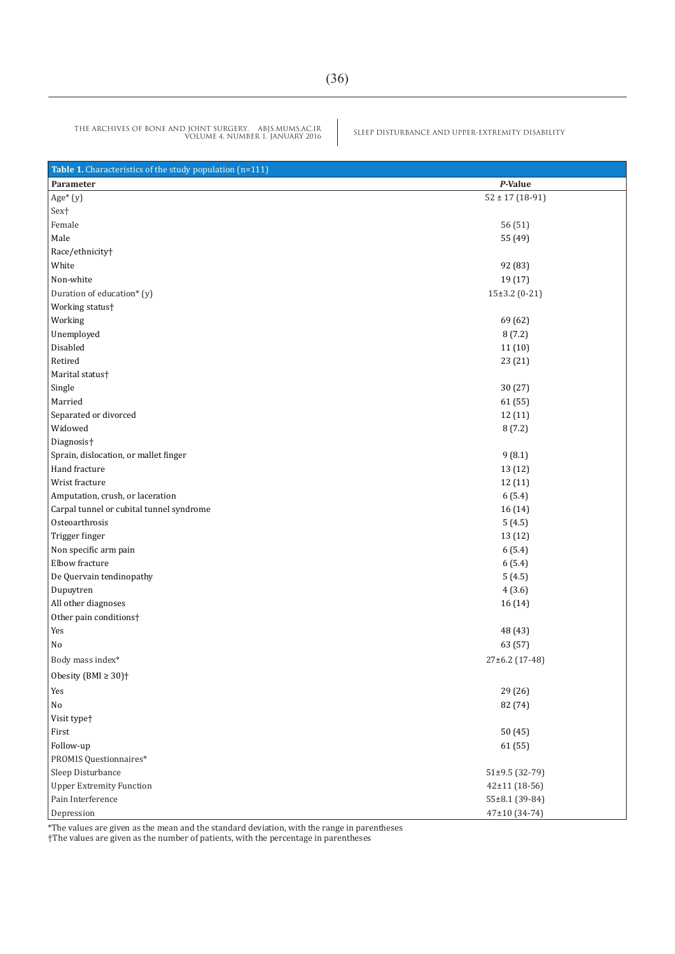SLEEP DISTURBANCE AND UPPER-EXTREMITY DISABILITY THE ARCHIVES OF BONE AND JOINT SURGERY. ABJS.MUMS.AC.IR VOLUME 4. NUMBER 1. JANUARY 2016

| Table 1. Characteristics of the study population (n=111) |                     |  |  |  |  |  |  |
|----------------------------------------------------------|---------------------|--|--|--|--|--|--|
| Parameter                                                | P-Value             |  |  |  |  |  |  |
| $Age* (y)$                                               | $52 \pm 17 (18-91)$ |  |  |  |  |  |  |
| Sex <sup>+</sup>                                         |                     |  |  |  |  |  |  |
| Female                                                   | 56 (51)             |  |  |  |  |  |  |
| Male                                                     | 55 (49)             |  |  |  |  |  |  |
| Race/ethnicity <sup>+</sup>                              |                     |  |  |  |  |  |  |
| White                                                    | 92 (83)             |  |  |  |  |  |  |
| Non-white                                                | 19 (17)             |  |  |  |  |  |  |
| Duration of education* (y)                               | $15\pm3.2$ (0-21)   |  |  |  |  |  |  |
| Working status <sup>+</sup>                              |                     |  |  |  |  |  |  |
| Working                                                  | 69 (62)             |  |  |  |  |  |  |
| Unemployed                                               | 8(7.2)              |  |  |  |  |  |  |
| Disabled                                                 | 11(10)              |  |  |  |  |  |  |
| Retired                                                  | 23 (21)             |  |  |  |  |  |  |
| Marital status†                                          |                     |  |  |  |  |  |  |
| Single                                                   | 30 (27)             |  |  |  |  |  |  |
| Married                                                  | 61 (55)             |  |  |  |  |  |  |
| Separated or divorced                                    | 12 (11)             |  |  |  |  |  |  |
| Widowed                                                  | 8(7.2)              |  |  |  |  |  |  |
| Diagnosis <sup>+</sup>                                   |                     |  |  |  |  |  |  |
| Sprain, dislocation, or mallet finger                    | 9(8.1)              |  |  |  |  |  |  |
| Hand fracture                                            | 13 (12)             |  |  |  |  |  |  |
| Wrist fracture                                           | 12 (11)             |  |  |  |  |  |  |
| Amputation, crush, or laceration                         | 6(5.4)              |  |  |  |  |  |  |
| Carpal tunnel or cubital tunnel syndrome                 | 16 (14)             |  |  |  |  |  |  |
| Osteoarthrosis                                           | 5(4.5)              |  |  |  |  |  |  |
| Trigger finger                                           | 13 (12)             |  |  |  |  |  |  |
| Non specific arm pain                                    | 6(5.4)              |  |  |  |  |  |  |
| Elbow fracture                                           | 6(5.4)              |  |  |  |  |  |  |
| De Quervain tendinopathy                                 | 5(4.5)              |  |  |  |  |  |  |
| Dupuytren                                                | 4(3.6)              |  |  |  |  |  |  |
| All other diagnoses                                      | 16 (14)             |  |  |  |  |  |  |
| Other pain conditions <sup>+</sup>                       |                     |  |  |  |  |  |  |
| Yes                                                      | 48 (43)             |  |  |  |  |  |  |
| No                                                       | 63 (57)             |  |  |  |  |  |  |
| Body mass index*                                         | 27±6.2 (17-48)      |  |  |  |  |  |  |
| Obesity (BMI $\geq 30$ ) <sup>+</sup>                    |                     |  |  |  |  |  |  |
| Yes                                                      | 29 (26)             |  |  |  |  |  |  |
| No                                                       | 82 (74)             |  |  |  |  |  |  |
| Visit type <sup>+</sup>                                  |                     |  |  |  |  |  |  |
| First                                                    | 50(45)              |  |  |  |  |  |  |
| Follow-up                                                | 61 (55)             |  |  |  |  |  |  |
| PROMIS Questionnaires*                                   |                     |  |  |  |  |  |  |
| Sleep Disturbance                                        | $51\pm9.5(32-79)$   |  |  |  |  |  |  |
| <b>Upper Extremity Function</b>                          | 42±11 (18-56)       |  |  |  |  |  |  |
| Pain Interference                                        | 55±8.1 (39-84)      |  |  |  |  |  |  |
| Depression                                               | 47±10 (34-74)       |  |  |  |  |  |  |

\*The values are given as the mean and the standard deviation, with the range in parentheses

†The values are given as the number of patients, with the percentage in parentheses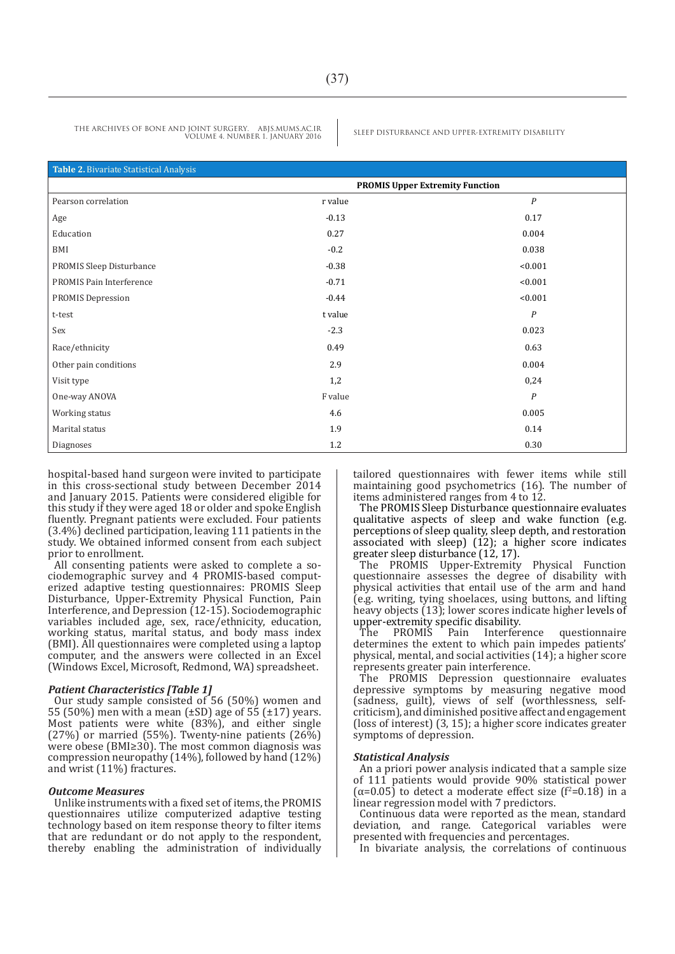| Table 2. Bivariate Statistical Analysis |                                        |                  |  |  |
|-----------------------------------------|----------------------------------------|------------------|--|--|
|                                         | <b>PROMIS Upper Extremity Function</b> |                  |  |  |
| Pearson correlation                     | r value                                | $\boldsymbol{P}$ |  |  |
| Age                                     | $-0.13$                                | 0.17             |  |  |
| Education                               | 0.27                                   | 0.004            |  |  |
| BMI                                     | $-0.2$                                 | 0.038            |  |  |
| PROMIS Sleep Disturbance                | $-0.38$                                | < 0.001          |  |  |
| PROMIS Pain Interference                | $-0.71$                                | < 0.001          |  |  |
| <b>PROMIS Depression</b>                | $-0.44$                                | < 0.001          |  |  |
| t-test                                  | t value                                | $\boldsymbol{P}$ |  |  |
| Sex                                     | $-2.3$                                 | 0.023            |  |  |
| Race/ethnicity                          | 0.49                                   | 0.63             |  |  |
| Other pain conditions                   | 2.9                                    | 0.004            |  |  |
| Visit type                              | 1,2                                    | 0,24             |  |  |
| One-way ANOVA                           | F value                                | $\boldsymbol{P}$ |  |  |
| Working status                          | 4.6                                    | 0.005            |  |  |
| Marital status                          | 1.9                                    | 0.14             |  |  |
| Diagnoses                               | 1.2                                    | 0.30             |  |  |

hospital-based hand surgeon were invited to participate in this cross-sectional study between December 2014 and January 2015. Patients were considered eligible for this study if they were aged 18 or older and spoke English fluently. Pregnant patients were excluded. Four patients (3.4%) declined participation, leaving 111 patients in the study. We obtained informed consent from each subject prior to enrollment.

All consenting patients were asked to complete a sociodemographic survey and 4 PROMIS-based computerized adaptive testing questionnaires: PROMIS Sleep Disturbance, Upper-Extremity Physical Function, Pain Interference, and Depression (12-15). Sociodemographic variables included age, sex, race/ethnicity, education, working status, marital status, and body mass index (BMI). All questionnaires were completed using a laptop computer, and the answers were collected in an Excel (Windows Excel, Microsoft, Redmond, WA) spreadsheet.

#### *Patient Characteristics [Table 1]*

Our study sample consisted of 56 (50%) women and 55 (50%) men with a mean (±SD) age of 55 (±17) years. Most patients were white (83%), and either single  $(27%)$  or married (55%). Twenty-nine patients (26%) were obese (BMI≥30). The most common diagnosis was compression neuropathy (14%), followed by hand (12%) and wrist (11%) fractures.

#### *Outcome Measures*

Unlike instruments with a fixed set of items, the PROMIS questionnaires utilize computerized adaptive testing technology based on item response theory to filter items that are redundant or do not apply to the respondent, thereby enabling the administration of individually tailored questionnaires with fewer items while still maintaining good psychometrics (16). The number of items administered ranges from 4 to 12.

The PROMIS Sleep Disturbance questionnaire evaluates qualitative aspects of sleep and wake function (e.g. perceptions of sleep quality, sleep depth, and restoration associated with sleep) (12); a higher score indicates greater sleep disturbance (12, 17).

The PROMIS Upper-Extremity Physical Function questionnaire assesses the degree of disability with physical activities that entail use of the arm and hand (e.g. writing, tying shoelaces, using buttons, and lifting heavy objects (13); lower scores indicate higher levels of upper-extremity specific disability.<br>The PROMIS Pain Interference

auestionnaire determines the extent to which pain impedes patients' physical, mental, and social activities (14); a higher score represents greater pain interference.

The PROMIS Depression questionnaire evaluates depressive symptoms by measuring negative mood (sadness, guilt), views of self (worthlessness, selfcriticism), and diminished positive affect and engagement (loss of interest) (3, 15); a higher score indicates greater symptoms of depression.

#### *Statistical Analysis*

An a priori power analysis indicated that a sample size of 111 patients would provide 90% statistical power  $(\alpha=0.05)$  to detect a moderate effect size ( $f^2=0.18$ ) in a linear regression model with 7 predictors.

Continuous data were reported as the mean, standard deviation, and range. Categorical variables were presented with frequencies and percentages.

In bivariate analysis, the correlations of continuous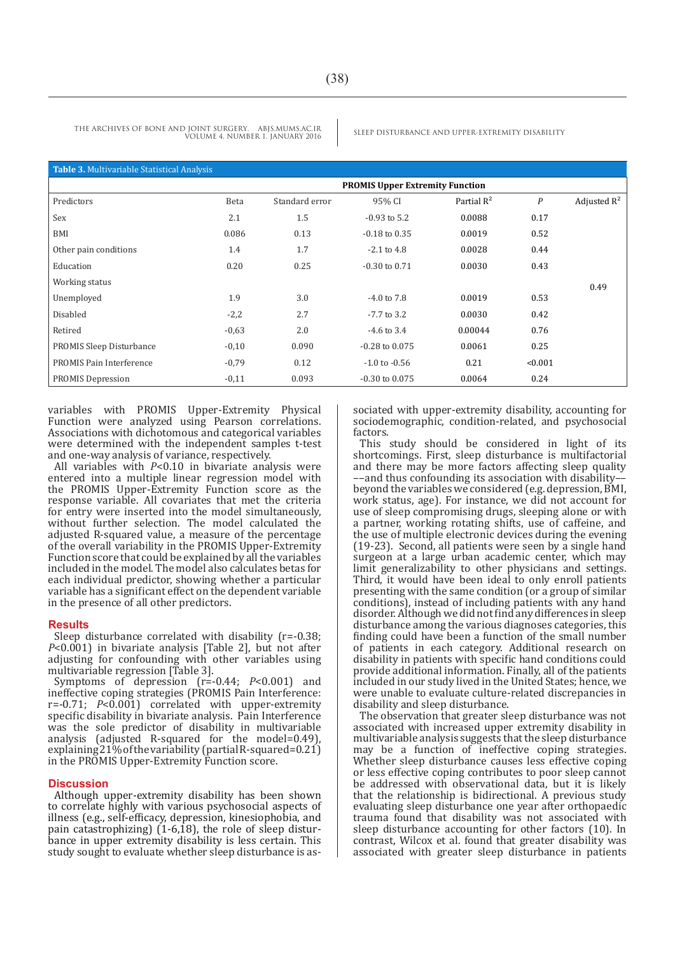| Table 3. Multivariable Statistical Analysis |                                        |                |                    |               |                  |                |  |  |  |
|---------------------------------------------|----------------------------------------|----------------|--------------------|---------------|------------------|----------------|--|--|--|
|                                             | <b>PROMIS Upper Extremity Function</b> |                |                    |               |                  |                |  |  |  |
| Predictors                                  | Beta                                   | Standard error | 95% CI             | Partial $R^2$ | $\boldsymbol{P}$ | Adjusted $R^2$ |  |  |  |
| Sex                                         | 2.1                                    | 1.5            | $-0.93$ to 5.2     | 0.0088        | 0.17             |                |  |  |  |
| BMI                                         | 0.086                                  | 0.13           | $-0.18$ to $0.35$  | 0.0019        | 0.52             |                |  |  |  |
| Other pain conditions                       | 1.4                                    | 1.7            | $-2.1$ to $4.8$    | 0.0028        | 0.44             |                |  |  |  |
| Education                                   | 0.20                                   | 0.25           | $-0.30$ to $0.71$  | 0.0030        | 0.43             |                |  |  |  |
| Working status                              |                                        |                |                    |               |                  | 0.49           |  |  |  |
| Unemployed                                  | 1.9                                    | 3.0            | $-4.0$ to $7.8$    | 0.0019        | 0.53             |                |  |  |  |
| Disabled                                    | $-2,2$                                 | 2.7            | $-7.7$ to 3.2      | 0.0030        | 0.42             |                |  |  |  |
| Retired                                     | $-0,63$                                | 2.0            | $-4.6$ to 3.4      | 0.00044       | 0.76             |                |  |  |  |
| <b>PROMIS Sleep Disturbance</b>             | $-0,10$                                | 0.090          | $-0.28$ to $0.075$ | 0.0061        | 0.25             |                |  |  |  |
| PROMIS Pain Interference                    | $-0,79$                                | 0.12           | $-1.0$ to $-0.56$  | 0.21          | < 0.001          |                |  |  |  |
| <b>PROMIS Depression</b>                    | $-0,11$                                | 0.093          | $-0.30$ to $0.075$ | 0.0064        | 0.24             |                |  |  |  |
|                                             |                                        |                |                    |               |                  |                |  |  |  |

variables with PROMIS Upper-Extremity Physical Function were analyzed using Pearson correlations. Associations with dichotomous and categorical variables were determined with the independent samples t-test and one-way analysis of variance, respectively.

All variables with *P*<0.10 in bivariate analysis were entered into a multiple linear regression model with the PROMIS Upper-Extremity Function score as the response variable. All covariates that met the criteria for entry were inserted into the model simultaneously, without further selection. The model calculated the adjusted R-squared value, a measure of the percentage of the overall variability in the PROMIS Upper-Extremity Function score that could be explained by all the variables included in the model. The model also calculates betas for each individual predictor, showing whether a particular variable has a significant effect on the dependent variable in the presence of all other predictors.

#### **Results**

Sleep disturbance correlated with disability (r=-0.38; *P*<0.001) in bivariate analysis [Table 2], but not after adjusting for confounding with other variables using multivariable regression [Table 3].

Symptoms of depression (r=-0.44; *P*<0.001) and ineffective coping strategies (PROMIS Pain Interference: r=-0.71; *P*<0.001) correlated with upper-extremity specific disability in bivariate analysis. Pain Interference was the sole predictor of disability in multivariable analysis (adjusted R-squared for the model=0.49), explaining 21% of the variability (partial R-squared=0.21) in the PROMIS Upper-Extremity Function score.

#### **Discussion**

Although upper-extremity disability has been shown to correlate highly with various psychosocial aspects of illness (e.g., self-efficacy, depression, kinesiophobia, and bance in upper extremity disability is less certain. This study sought to evaluate whether sleep disturbance is associated with upper-extremity disability, accounting for sociodemographic, condition-related, and psychosocial factors.

This study should be considered in light of its shortcomings. First, sleep disturbance is multifactorial and there may be more factors affecting sleep quality ––and thus confounding its association with disability–– beyond the variables we considered (e.g. depression, BMI, work status, age). For instance, we did not account for use of sleep compromising drugs, sleeping alone or with a partner, working rotating shifts, use of caffeine, and the use of multiple electronic devices during the evening (19-23). Second, all patients were seen by a single hand surgeon at a large urban academic center, which may limit generalizability to other physicians and settings. Third, it would have been ideal to only enroll patients presenting with the same condition (or a group of similar conditions), instead of including patients with any hand disorder. Although we did not find any differences in sleep disturbance among the various diagnoses categories, this finding could have been a function of the small number of patients in each category. Additional research on disability in patients with specific hand conditions could provide additional information. Finally, all of the patients included in our study lived in the United States; hence, we were unable to evaluate culture-related discrepancies in disability and sleep disturbance.

The observation that greater sleep disturbance was not associated with increased upper extremity disability in multivariable analysis suggests that the sleep disturbance may be a function of ineffective coping strategies. Whether sleep disturbance causes less effective coping or less effective coping contributes to poor sleep cannot be addressed with observational data, but it is likely that the relationship is bidirectional. A previous study evaluating sleep disturbance one year after orthopaedic trauma found that disability was not associated with sleep disturbance accounting for other factors (10). In contrast, Wilcox et al. found that greater disability was associated with greater sleep disturbance in patients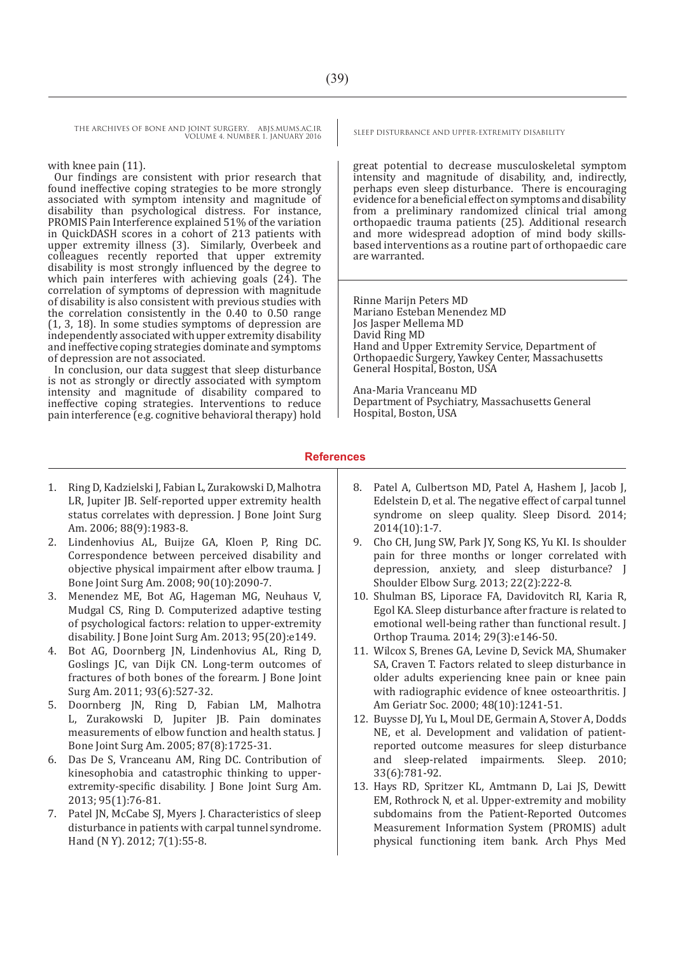### with knee pain (11).

Our findings are consistent with prior research that found ineffective coping strategies to be more strongly associated with symptom intensity and magnitude of disability than psychological distress. For instance, PROMIS Pain Interference explained 51% of the variation in QuickDASH scores in a cohort of 213 patients with upper extremity illness (3). Similarly, Overbeek and colleagues recently reported that upper extremity disability is most strongly influenced by the degree to which pain interferes with achieving goals (24). The correlation of symptoms of depression with magnitude of disability is also consistent with previous studies with the correlation consistently in the 0.40 to 0.50 range (1, 3, 18). In some studies symptoms of depression are independently associated with upper extremity disability and ineffective coping strategies dominate and symptoms of depression are not associated.

In conclusion, our data suggest that sleep disturbance is not as strongly or directly associated with symptom intensity and magnitude of disability compared to ineffective coping strategies. Interventions to reduce pain interference (e.g. cognitive behavioral therapy) hold

great potential to decrease musculoskeletal symptom intensity and magnitude of disability, and, indirectly, perhaps even sleep disturbance. There is encouraging evidence for a beneficial effect on symptoms and disability from a preliminary randomized clinical trial among orthopaedic trauma patients (25). Additional research and more widespread adoption of mind body skillsbased interventions as a routine part of orthopaedic care are warranted.

Rinne Marijn Peters MD Mariano Esteban Menendez MD Jos Jasper Mellema MD David Ring MD Hand and Upper Extremity Service, Department of Orthopaedic Surgery, Yawkey Center, Massachusetts General Hospital, Boston, USA

Ana-Maria Vranceanu MD Department of Psychiatry, Massachusetts General Hospital, Boston, USA

## **References**

- 1. Ring D, Kadzielski J, Fabian L, Zurakowski D, Malhotra LR, Jupiter JB. Self-reported upper extremity health status correlates with depression. J Bone Joint Surg Am. 2006; 88(9):1983-8.
- 2. Lindenhovius AL, Buijze GA, Kloen P, Ring DC. Correspondence between perceived disability and objective physical impairment after elbow trauma. J Bone Joint Surg Am. 2008; 90(10):2090-7.
- 3. Menendez ME, Bot AG, Hageman MG, Neuhaus V, Mudgal CS, Ring D. Computerized adaptive testing of psychological factors: relation to upper-extremity disability. J Bone Joint Surg Am. 2013; 95(20):e149.
- 4. Bot AG, Doornberg JN, Lindenhovius AL, Ring D, Goslings JC, van Dijk CN. Long-term outcomes of fractures of both bones of the forearm. J Bone Joint Surg Am. 2011; 93(6):527-32.
- 5. Doornberg JN, Ring D, Fabian LM, Malhotra L, Zurakowski D, Jupiter JB. Pain dominates measurements of elbow function and health status. J Bone Joint Surg Am. 2005; 87(8):1725-31.
- 6. Das De S, Vranceanu AM, Ring DC. Contribution of kinesophobia and catastrophic thinking to upperextremity-specific disability. J Bone Joint Surg Am. 2013; 95(1):76-81.
- 7. Patel JN, McCabe SJ, Myers J. Characteristics of sleep disturbance in patients with carpal tunnel syndrome. Hand (N Y). 2012; 7(1):55-8.
- 8. Patel A, Culbertson MD, Patel A, Hashem J, Jacob J, Edelstein D, et al. The negative effect of carpal tunnel syndrome on sleep quality. Sleep Disord. 2014; 2014(10):1-7.
- 9. Cho CH, Jung SW, Park JY, Song KS, Yu KI. Is shoulder pain for three months or longer correlated with depression, anxiety, and sleep disturbance? J Shoulder Elbow Surg. 2013; 22(2):222-8.
- 10. Shulman BS, Liporace FA, Davidovitch RI, Karia R, Egol KA. Sleep disturbance after fracture is related to emotional well-being rather than functional result. J Orthop Trauma. 2014; 29(3):e146-50.
- 11. Wilcox S, Brenes GA, Levine D, Sevick MA, Shumaker SA, Craven T. Factors related to sleep disturbance in older adults experiencing knee pain or knee pain with radiographic evidence of knee osteoarthritis. J Am Geriatr Soc. 2000; 48(10):1241-51.
- 12. Buysse DJ, Yu L, Moul DE, Germain A, Stover A, Dodds NE, et al. Development and validation of patientreported outcome measures for sleep disturbance and sleep-related impairments. Sleep. 2010; 33(6):781-92.
- 13. Hays RD, Spritzer KL, Amtmann D, Lai JS, Dewitt EM, Rothrock N, et al. Upper-extremity and mobility subdomains from the Patient-Reported Outcomes Measurement Information System (PROMIS) adult physical functioning item bank. Arch Phys Med